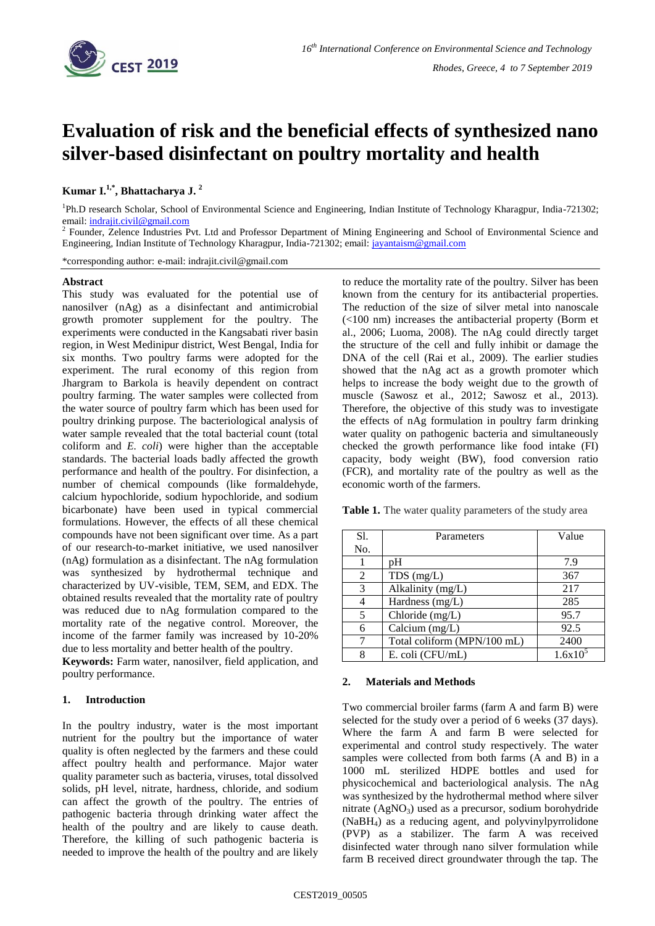

# **Evaluation of risk and the beneficial effects of synthesized nano silver-based disinfectant on poultry mortality and health**

# **Kumar I. 1,\* , Bhattacharya J. <sup>2</sup>**

<sup>1</sup>Ph.D research Scholar, School of Environmental Science and Engineering, Indian Institute of Technology Kharagpur, India-721302; email[: indrajit.civil@gmail.com](mailto:indrajit.civil@gmail.com)

2 Founder, Zelence Industries Pvt. Ltd and Professor Department of Mining Engineering and School of Environmental Science and Engineering, Indian Institute of Technology Kharagpur, India-721302; email: [jayantaism@gmail.com](mailto:jayantaism@gmail.com)

\*corresponding author: e-mail: indrajit.civil@gmail.com

# **Abstract**

This study was evaluated for the potential use of nanosilver (nAg) as a disinfectant and antimicrobial growth promoter supplement for the poultry. The experiments were conducted in the Kangsabati river basin region, in West Medinipur district, West Bengal, India for six months. Two poultry farms were adopted for the experiment. The rural economy of this region from Jhargram to Barkola is heavily dependent on contract poultry farming. The water samples were collected from the water source of poultry farm which has been used for poultry drinking purpose. The bacteriological analysis of water sample revealed that the total bacterial count (total coliform and *E. coli*) were higher than the acceptable standards. The bacterial loads badly affected the growth performance and health of the poultry. For disinfection, a number of chemical compounds (like formaldehyde, calcium hypochloride, sodium hypochloride, and sodium bicarbonate) have been used in typical commercial formulations. However, the effects of all these chemical compounds have not been significant over time. As a part of our research-to-market initiative, we used nanosilver (nAg) formulation as a disinfectant. The nAg formulation was synthesized by hydrothermal technique and characterized by UV-visible, TEM, SEM, and EDX. The obtained results revealed that the mortality rate of poultry was reduced due to nAg formulation compared to the mortality rate of the negative control. Moreover, the income of the farmer family was increased by 10-20% due to less mortality and better health of the poultry.

**Keywords:** Farm water, nanosilver, field application, and poultry performance.

# **1. Introduction**

In the poultry industry, water is the most important nutrient for the poultry but the importance of water quality is often neglected by the farmers and these could affect poultry health and performance. Major water quality parameter such as bacteria, viruses, total dissolved solids, pH level, nitrate, hardness, chloride, and sodium can affect the growth of the poultry. The entries of pathogenic bacteria through drinking water affect the health of the poultry and are likely to cause death. Therefore, the killing of such pathogenic bacteria is needed to improve the health of the poultry and are likely

to reduce the mortality rate of the poultry. Silver has been known from the century for its antibacterial properties. The reduction of the size of silver metal into nanoscale (<100 nm) increases the antibacterial property (Borm et al., 2006; Luoma, 2008). The nAg could directly target the structure of the cell and fully inhibit or damage the DNA of the cell (Rai et al., 2009). The earlier studies showed that the nAg act as a growth promoter which helps to increase the body weight due to the growth of muscle (Sawosz et al., 2012; Sawosz et al., 2013). Therefore, the objective of this study was to investigate the effects of nAg formulation in poultry farm drinking water quality on pathogenic bacteria and simultaneously checked the growth performance like food intake (FI) capacity, body weight (BW), food conversion ratio (FCR), and mortality rate of the poultry as well as the economic worth of the farmers.

Table 1. The water quality parameters of the study area

| S1. | Parameters                  | Value  |
|-----|-----------------------------|--------|
| No. |                             |        |
|     | pΗ                          | 7.9    |
| 2   | $TDS$ (mg/L)                | 367    |
| 3   | Alkalinity (mg/L)           | 217    |
|     | Hardness $(mg/L)$           | 285    |
| 5   | Chloride (mg/L)             | 95.7   |
| 6   | Calcium (mg/L)              | 92.5   |
|     | Total coliform (MPN/100 mL) | 2400   |
| 8   | E. coli (CFU/mL)            | 1.6x10 |

#### **2. Materials and Methods**

Two commercial broiler farms (farm A and farm B) were selected for the study over a period of 6 weeks (37 days). Where the farm A and farm B were selected for experimental and control study respectively. The water samples were collected from both farms (A and B) in a 1000 mL sterilized HDPE bottles and used for physicochemical and bacteriological analysis. The nAg was synthesized by the hydrothermal method where silver nitrate  $(AgNO_3)$  used as a precursor, sodium borohydride (NaBH4) as a reducing agent, and polyvinylpyrrolidone (PVP) as a stabilizer. The farm A was received disinfected water through nano silver formulation while farm B received direct groundwater through the tap. The